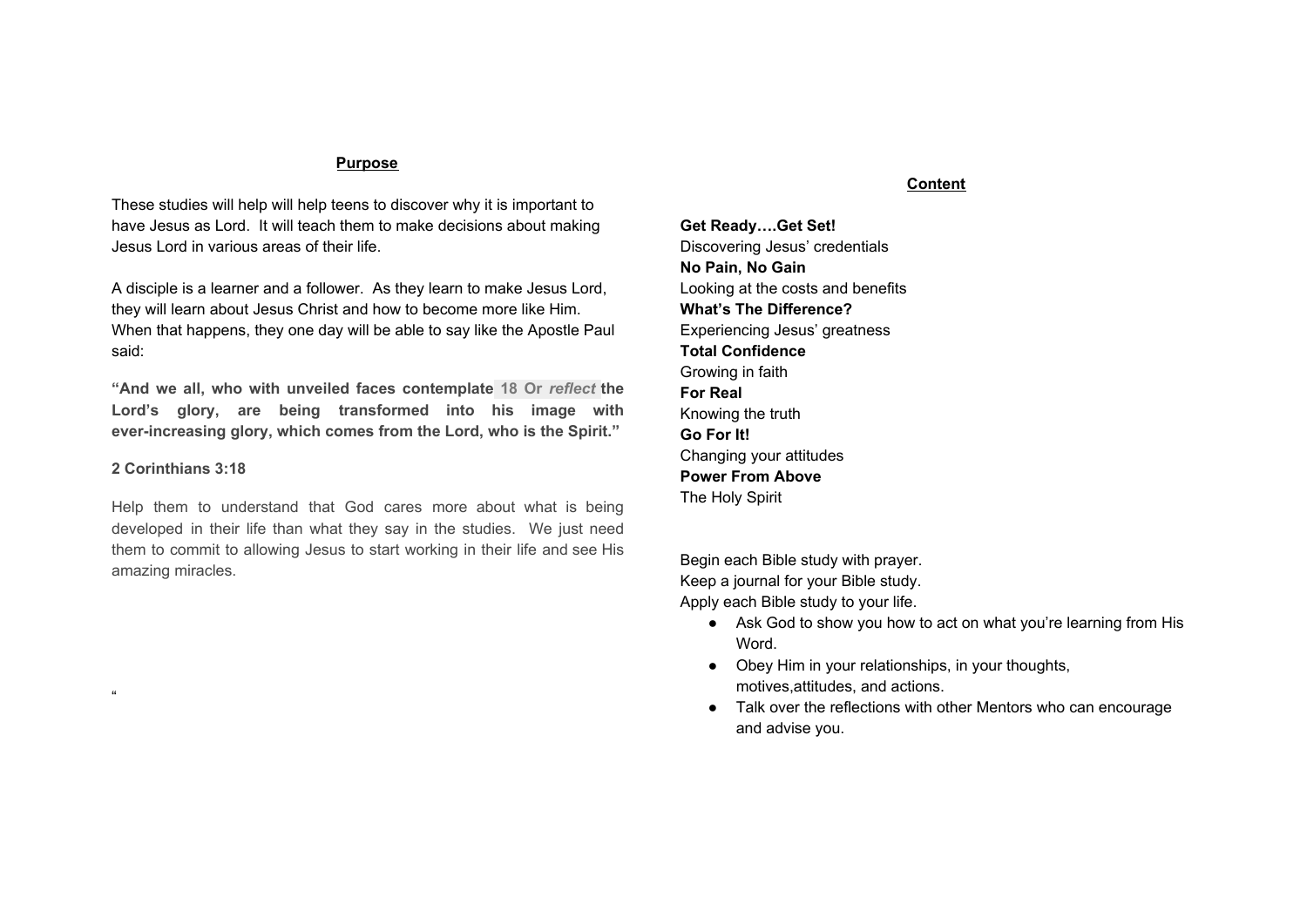#### **Purpose**

These studies will help will help teens to discover why it is important to have Jesus as Lord. It will teach them to make decisions about making Jesus Lord in various areas of their life.

A disciple is a learner and a follower. As they learn to make Jesus Lord, they will learn about Jesus Christ and how to become more like Him. When that happens, they one day will be able to say like the Apostle Paul said:

**"And we all, who with unveiled faces contemplate 18 Or** *reflect* **the Lord's glory, are being transformed into his image with ever-increasing glory, which comes from the Lord, who is the Spirit."**

#### **2 Corinthians 3:18**

"

Help them to understand that God cares more about what is being developed in their life than what they say in the studies. We just need them to commit to allowing Jesus to start working in their life and see His amazing miracles.

#### **Content**

**Get Ready….Get Set!** Discovering Jesus' credentials **No Pain, No Gain** Looking at the costs and benefits **What's The Difference?** Experiencing Jesus' greatness **Total Confidence** Growing in faith **For Real** Knowing the truth **Go For It!** Changing your attitudes **Power From Above** The Holy Spirit

Begin each Bible study with prayer. Keep a journal for your Bible study. Apply each Bible study to your life.

- Ask God to show you how to act on what you're learning from His Word.
- Obey Him in your relationships, in your thoughts, motives,attitudes, and actions.
- Talk over the reflections with other Mentors who can encourage and advise you.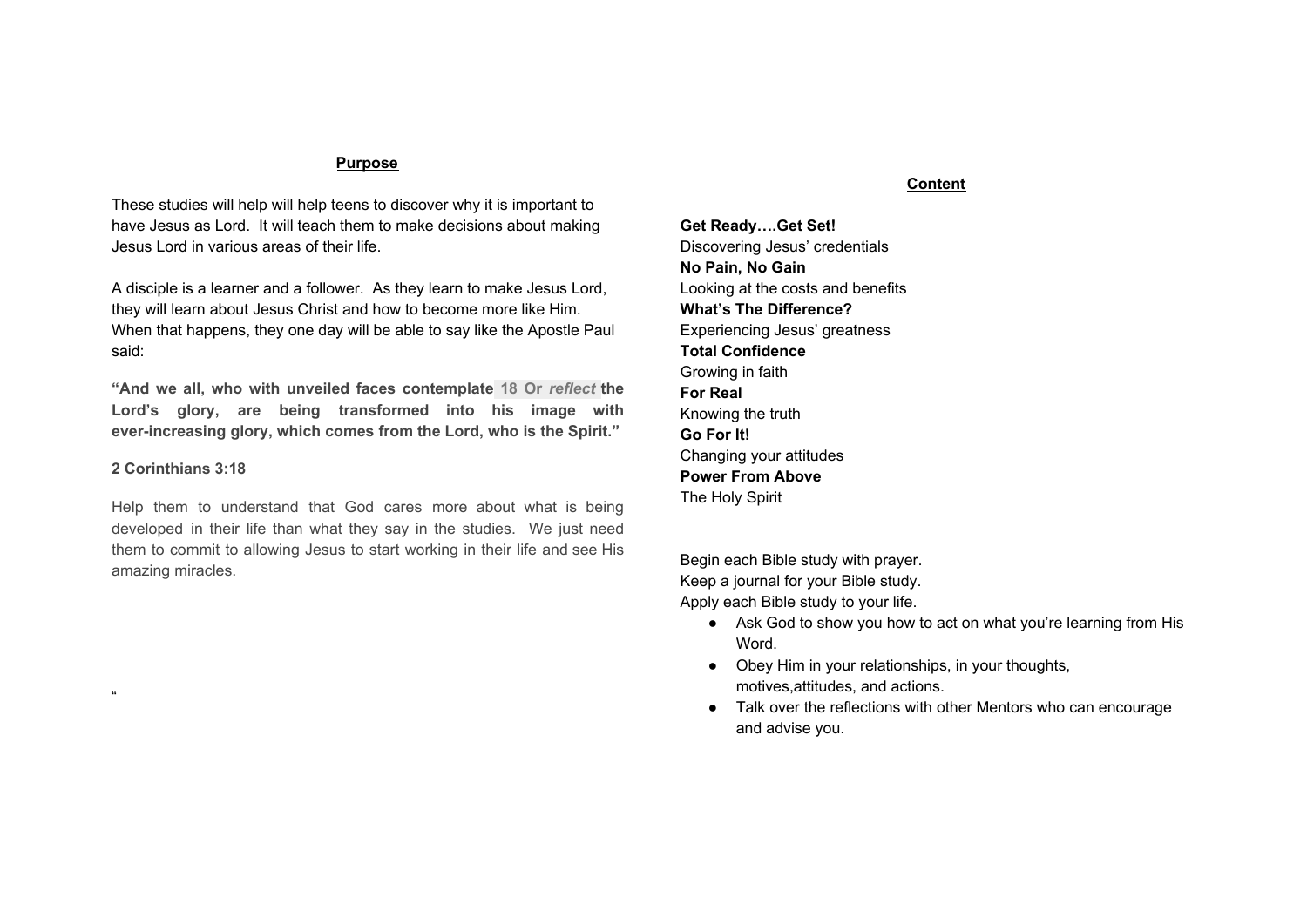# **Get Ready… Get Set! Discovering Jesus' Credentials**

Can you recall the first day you started something new( a class, a sport, a musical instrument, etc.)? How did you feel?

Name one talent you have that you're really proud of.

How long have you been doing it? How did you get to be good at it? Write a short paragraph that describes your learning process from the point you started until now.

Did you learn on your own, or did someone teach you?

Who contributed to your learning process?

Coaching Credentials



Having Jesus as Lord of your life is kind of like having a teacher or coach to help you be the best person you can be. What did Nicodemus say that Jesus was? John 3:2

Jesus Christ wants to teach you everything you need to know about being a student of Jesus. But is He really qualified to be Lord of your life.

### CREDENTIALS #1--He Created You.

Read John 1:1-18 substituting "Jesus Christ" for "the Word"(Jesus is the Living Word of God). Compare that passage to Colossians 1:15-16 and describe how Jesus was in on the creation of the world and, more specifically, your creation. Since Jesus created you. He knows how you work best. Read Psalm 139:13-16. What does Jesus know about you?

Jesus made you, and He knows all about you.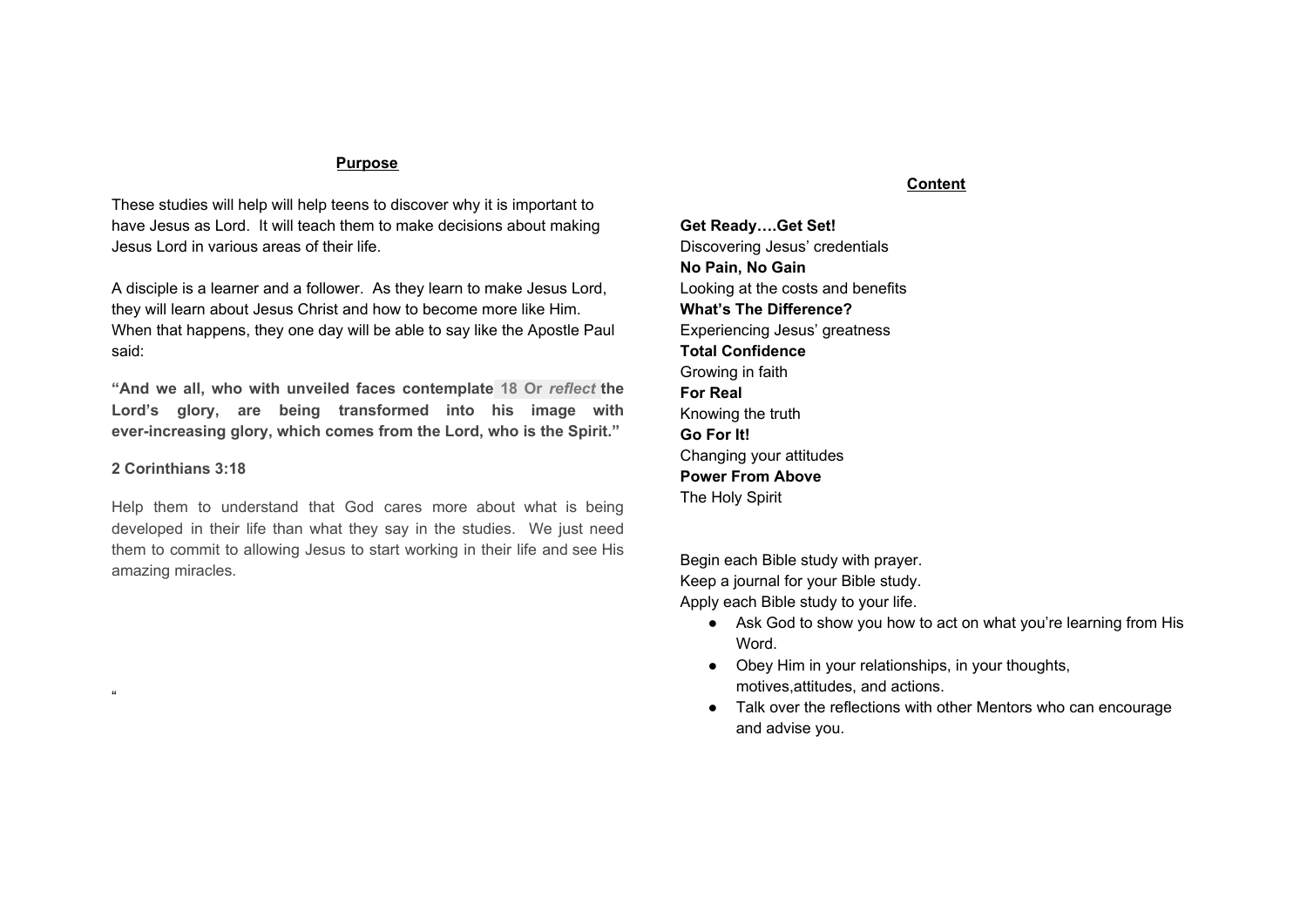### CREDENTIALS #2--He Identifies With You.

Picture in your mind a story where the two main characters from Star Wars movie the evil ruler(Darth Vader), and a fearless young man(Luke Skywalker). The people in the country where this story takes place have been starved, cheated, and oppressed by the evil ruler. Fearless young man has grown up with the evil ruler conspiracy and He decides to save his people by overcoming this evil ruler. If you want to know the end of the story, read John 1:14.

Jesus came to earth as one of us. Through His death, He crushed Satan's rule on this earth forever. And because He lived here for 33 years. He know what we go through every day. " We have a high priest(Jesus) who is able to sympathize with our weaknesses, and` we have one who has been tempted in every way, just as we are". Hebrews 4:15 also Luke 4:1-13 and find out how Jesus faced the same temptations you have. Jesus had struggles just like you have.

CREDENTIAL #3---He Redeemed You. Redeemed means to "rescue." How did Jesus rescue you? 1 Corinthians 6:20; Romans 14: 9



Another definition for redeem is "to recover ownership by paying a specified sum," or "to ransom." You belonged to God, but now you have been captive by this evil ruler-Satan. If a gang kidnapped your best friend, how much would you pay as a ransom to get him/her back ?

What ransom did Jesus pay for you?

Jesus has paid to regain ownership of your life with his very life, so He has the right to the Lord(owner) of your life who is full grace and truth. Jesus redeemed you at an expensive price.

Making Jesus your Lord(owner of your life) means you need to examine some very specific areas of your life: dating, sex, parents, attitudes, habits, thoughts, friendships, temptations, and material possessions, etc.

Two things help in getting prepared for this decision: desire and decide. Step #1: Desire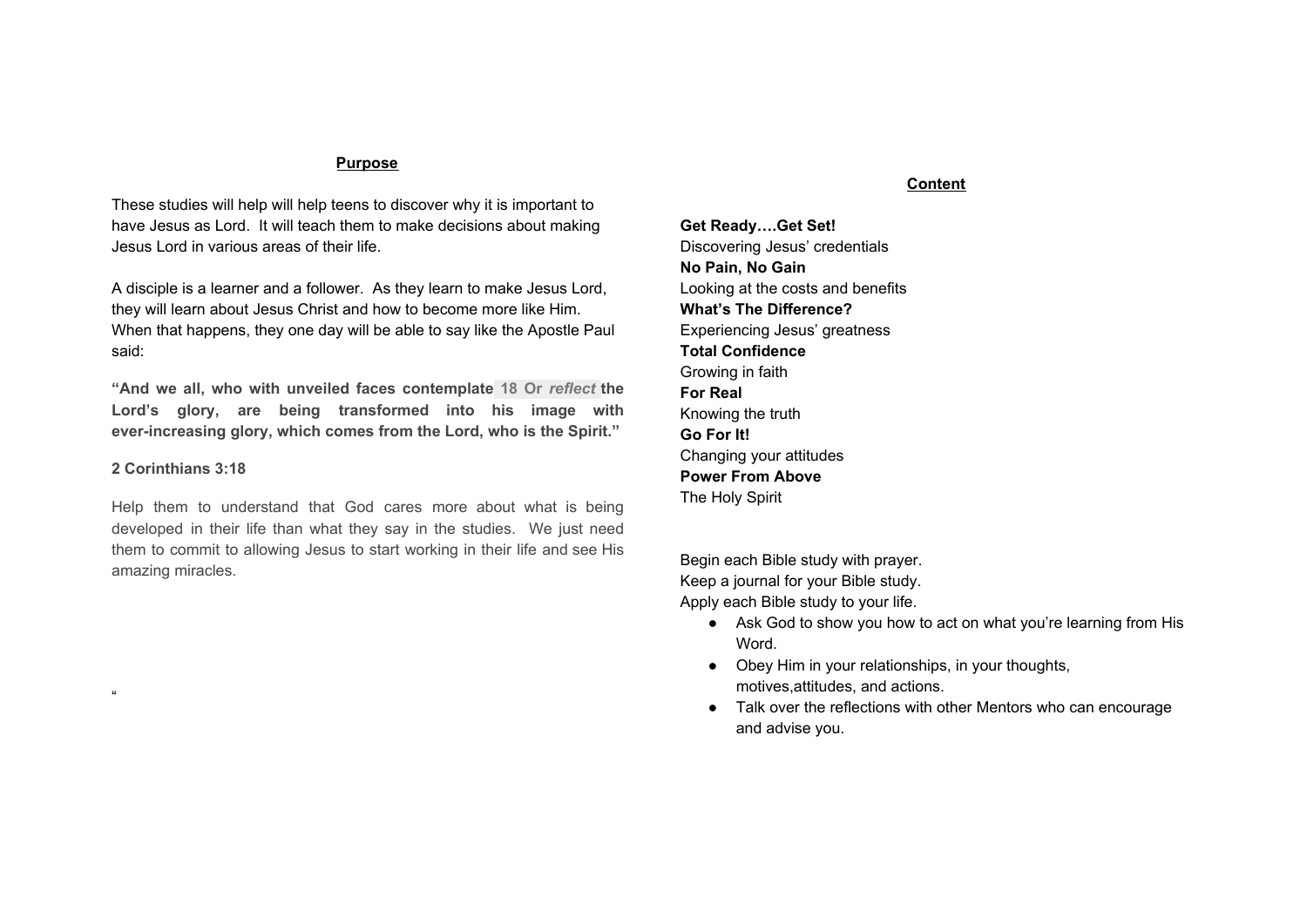### Psalm 63:1

This kind of desire comes when we get desperate! When we get tired of running our own lives, God will give us a desire to do it His way. Are you to the point where you are willing to let go and let God take over?

The more we see who Jesus really is, the more the desire develops in us to please to worship Him. You will begin to see Jesus more clearly the rest of the decision to making Jesus Lord. But right now, evaluate where you stand as far as wanting Jesus to be the Lord of your life: Are you tired of running your own life?  $W$ hy?

What things do you know about Jesus that cause you to want to give yourself to Him as Lord?

What doubts do you have about making Jesus the Lord of your life?

Write a prayer to God about your decision.

Step #2: Decide Acts 22:10; Acts 26:19-20 When Paul realized who Jesus was, he said: What shall I do, Lord?" Make your own commitment by faith. Memorize: Psalm 63:1

# **No Pain, No Gain Looking at the costs and benefits**

You have to lose something in order to gain something else. In this Bible study, you will take an honest look at the price you are willing to pay. On the other hand, you will also discover many benefits to having Jesus as the Lord of your life.

### Paying the Price

Look up Matthew 16:24-26, Paraphrase these verses in your own words.

Those are pretty strong words, aren't they?

## Cost #1--Deny Yourself

What does it mean to deny yourself? It means that you get rid of your "I, me, mine," approach to life--by making a sold-out commitment to Jesus Christ. The world teaches, "Look out for number one." But Jesus says to forget yourself because:

- He has taken over the responsibility of looking out for you. You don't have to worry about yourself.
- He wants to motivate you to be your very best for Him. You don't have to get hung up on yourself.

Name one specific way that you are still looking out for number one.

## Cost #2--Take Up Your Cross.

Philippians 2:5-11 gives us a good example of someone who took up His cross. How? Jesus took up His cross by becoming an obedient servant to His Father. How can you carry your cross?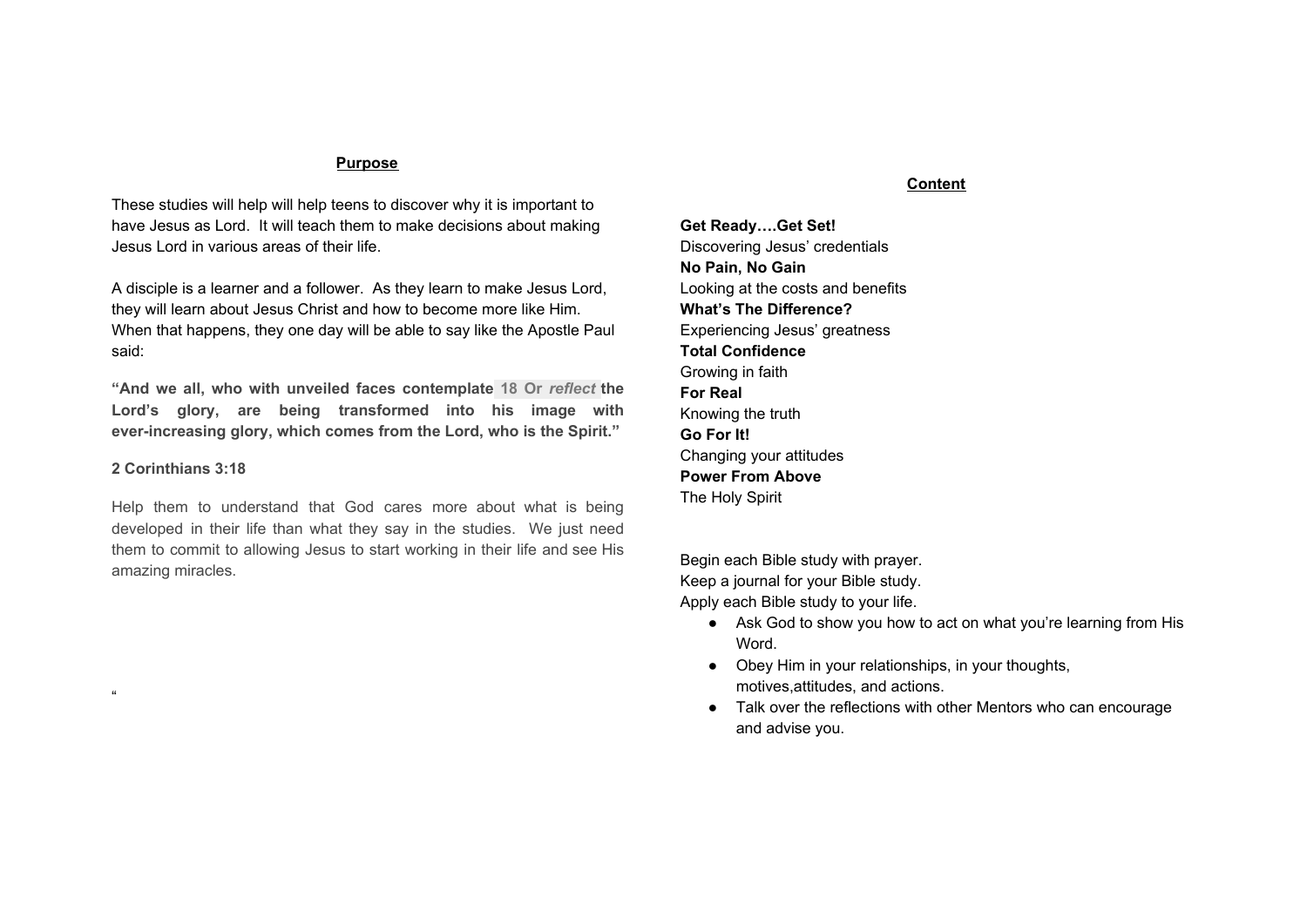

Be willing to endure suffering. What kind of suffering? The same kind of suffering you endure to get your body into shape. You must be willing to withstand some pressure(and even pain) to produce good results.

How do you respond to suffering? James 1:2-4

What does God promise to do when you suffer? 1 Peter 5:10

What is the result of suffering for Christ? Romans 8:17

### Cost #3--Follow Jesus

When you follow Jesus you:

- Enter a relationship with Him and become His companion
- Go in the same direction as Jesus
- Submit to His authority in your life(What would Jesus do?)
- Obey Him now and in the future.

## **Good Deals**

So there are costs if you want to follow Jesus. But there are good deals as well. Many times we ask: "What do I have to give up before I can be a follower of Jesus? Can I still smoke, drink, and mess around with

girls/boys if I decide to follow Jesus? There are many bad examples all around us, and it's tempting. A better question would be, "What activities do I have the privilege of giving up in order to follow Jesus and get in on all the good deals He has for me?



Here are some of the good deals Jesus has to offer:

## **Good Deal #1**--You will make good decisions.

When you **choose Jesus** over those bad deals, He is soooooo excited and gives you specific guidance to difficult decisions. Proverbs 3:5-6. As you think of one big decision you are facing right now, how do these verses apply to your decision?

## **Good Deal #2-**-You Will Have Satisfaction.

How do your mouth and body feel when you are really thirsty?

Jesus is your spiritual thirst quencher. Read John 4: 10-14. What does He say about Himself?

In what way do you need satisfaction right now?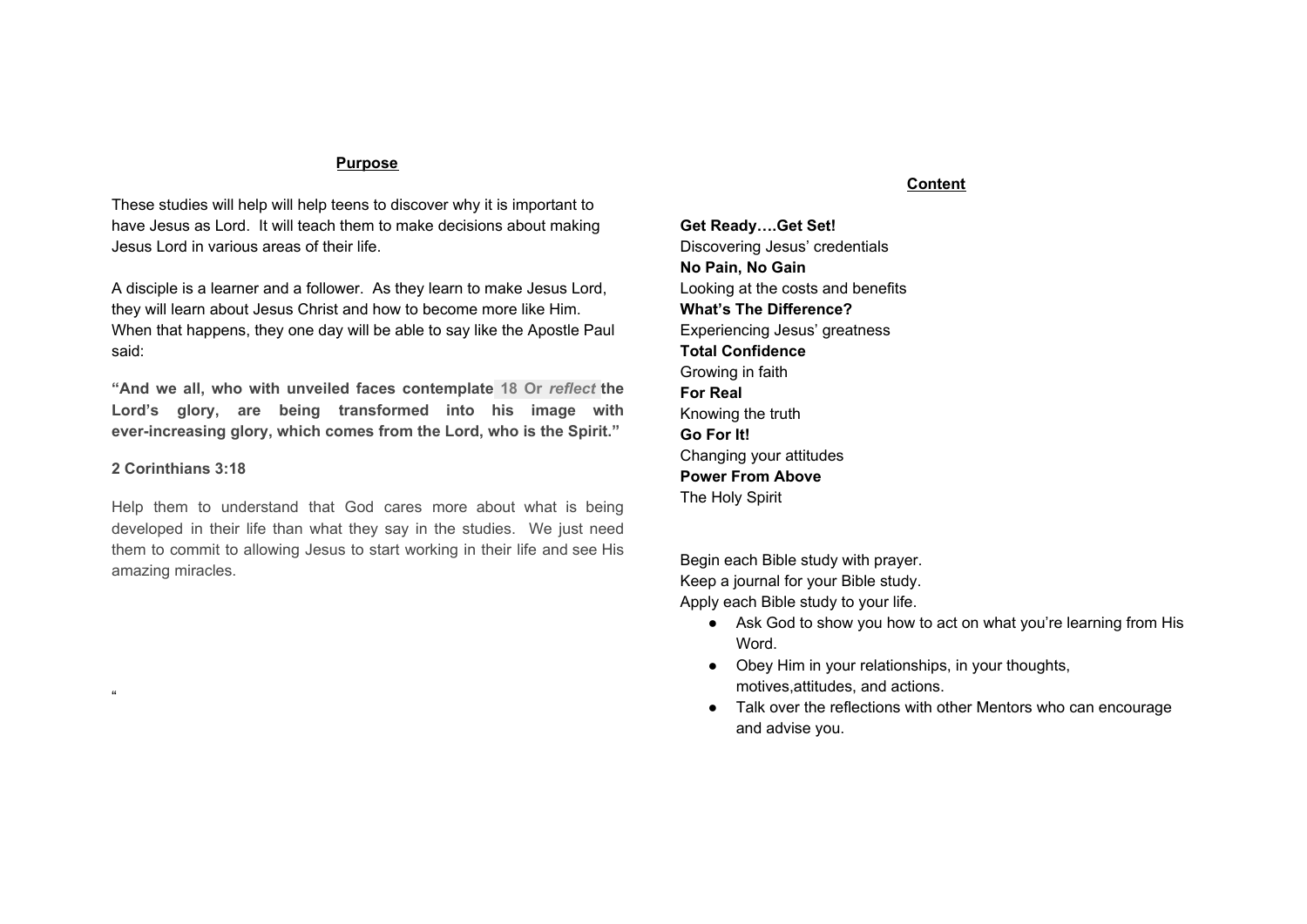**Good Deal #3-**-You Will Lead A Victorious Life. 1 Corinthians 15: 57 Jesus gives us victory. Think of a time when you were victorious. How did it feel?

What victories are in store for those who make Jesus Lord? Romans 5: 17

## **Good Deal # 4**--Your Future Has Hope.

Lots of things make life tough these days: broken homes, low grades, and people betray, leave, also hate you, to name a few. Name one thing that is discouraging you.

What does 2 Timothy 2:11-12 say will happen if you hang in there?

No matter how bad things look right now, you have a bright future.

**Good Deal #5-**-Your Character will Change. Read Romans 8:28-29. Being "called according to His purpose" is another way of saying "He is Lord of my life." What will happen as a result of Jesus being your Lord?

"Conformed to the likeness of His Son" means you will begin to have His character qualities. What are some of Jesus' qualities that you would like to develop?

Reread Matthew 16:24-26 By making Jesus Lord, you "lose your life" (so to speak)because you turn everything over to Him. But in doing you gain real life and all the positive benefits that God wants you to enjoy.

# **WHAT'S THE DIFFERENCE? Experiencing Jesus' greatness**

Have you ever thought about the difference between someone who is successful and someone who is not? Name someone you know who is really successful.

How do you think that person became successful?

Making Jesus Lord means that you have chosen to become someone special because Jesus is special. Why is He so special? For starters, He is God.

When the Bible refers to God, He might be called the Father, the Son(Jesus) or the Holy Spirit. God is three persons in one, and one person in three. That sounds kind of mind boggling, isn't it? The word to describe all three persons of God is the Trinity, or Godhead. Let's look at some illustrations to get a rough understanding of the Trinity.



**HOLY SPIRIT** 

Each side of this triangle is equal, but distinct from the other two sides. Like a person can be a father, son, and husband at the same time, God has three identities in one.

Or imagine you are taking your Chemistry exam and see the following question. What would your answer be ?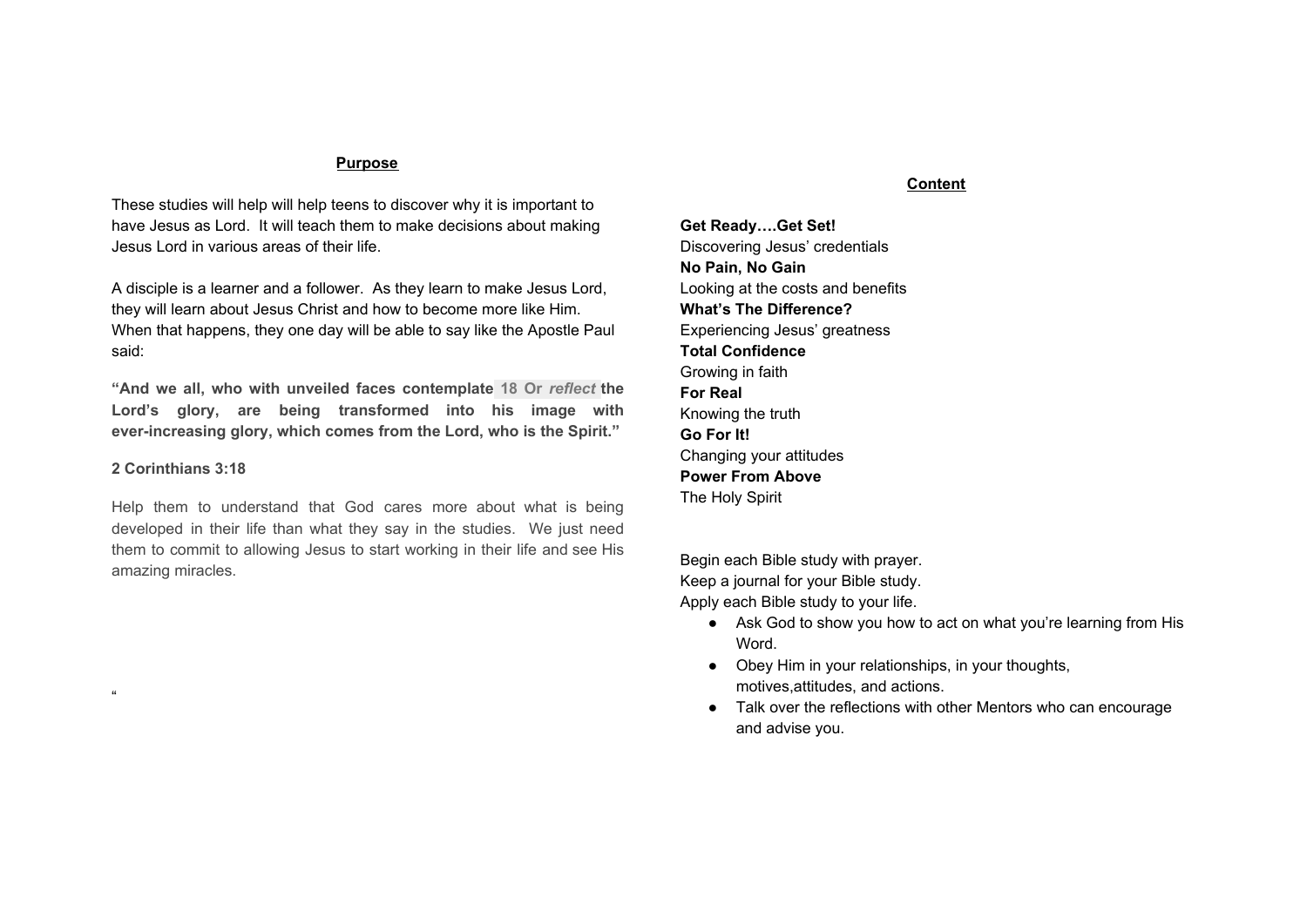Which of the following has the chemical compound H2O?

- A. Water
- B. Steam
- C. Ice
- D. All of the Above.

If you really want to know what a person is like, you don't just look at his outward appearance. You look deeper inside to see what kind of character he has. Is he dependable? Honest? Loving? If he is a loving son, he will be a loving husband and a loving father.

God is like that. His character as the Father, Son and Holy Spirit is same--just expressed differently. Let's look at some of His qualities.

# **Quality #1--God is great.**

Take a map of the world and spend several minutes pinpointing and listing some of the countries you have never seen?

God created the universe. Our galaxy is only one of many, many galaxies contained in the universe that God made. Our solar system is one of many in our galaxy. Planet Earth is one of planets in our solar system. So your state is a small part of a planet in a galaxy that is only a small part of the universe that God created. Get the picture? Here's how Psalm 145:3 says it: "Great is the Lord and most worthy of praise; His greatness no one can fathom." Look at Isaiah 40 and list some of the ways God is great.

| vs 12    |  |
|----------|--|
| vs 15-17 |  |
| vs 21-22 |  |
| vs 23    |  |
| vs 25-26 |  |

# **Quality #2--God is consistent.**

He never changes. You could pull out some of your childhood pictures to see how you have changed. But your changes haven't all been physical, it's also emotionally, intellectually, and spiritually. List a few things you have noticed in these areas.

But God never changes. He can't mature the way we do because He is already perfect. He told Moses, "I am who I am" Exodus 3:14, which means I am the self-existent One who never changes. His truth is consistent. Think of a time when you said something you wanted to take back. Then read Psalm 119:89; Isaiah 40:8; 45:23; and John 14:6. What do these vs tell you about God's truth?

His purpose is consistent. Read Numbers 23:19 and Hebrews 7:21. Why is it that God never needs to reverse His plans?

# **Quality #3--God is Holy.**

Read Isaiah 6:1-8 What is holiness? What was Isaiah response?

"Holy is the way God is. To be holy He does not conform to a standard. He is that standard. He is absolutely holy with an infinite, incomprehensible fullness of purity that is incapable of being other than it is." A. W. Tozer What does God want us to be? Why?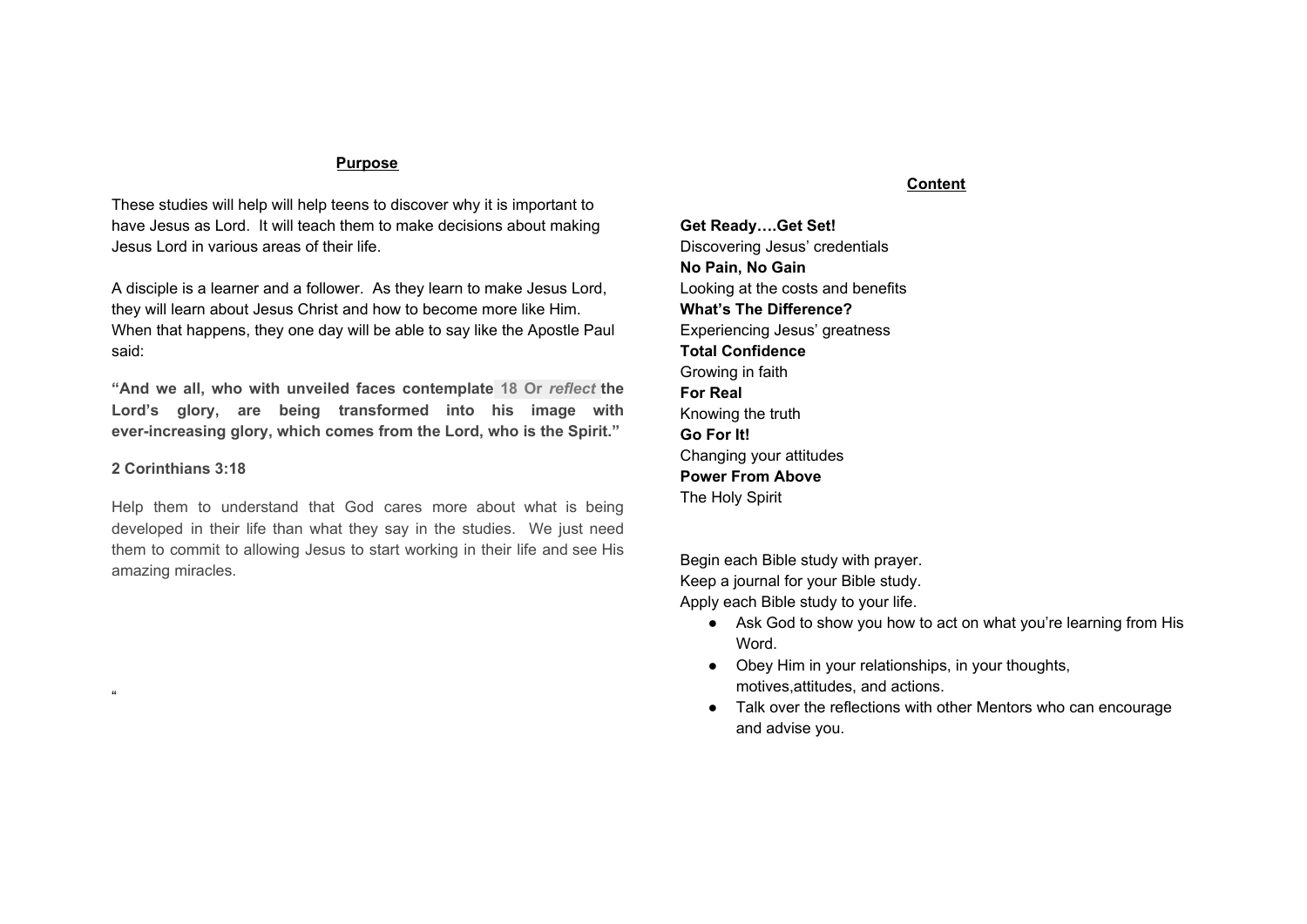

To be "holy" means to be set apart". God has set apart because you belong to God. Romans 6:11 and Ephesians 2: 1-6 tells who you are set apart for and what you have been set apart from.

How did God set you apart from sin? What needs to be your response?

Ephesians 4: 25-5:8 You are deciding to put off the old self dead in sin; instead to come alive, be holy, and be a light in Christ.

# **Total Confident Growing in Faith**

What does it take to reach your full potential in a sport?

What does it take to reach your full potential as a follower of Christ?

Some common answers maybe practice, obedience, etc. God has great plans for you. Look at Jeremiah 29:11 and write down what tells you about those plans.

In God's eyes, you are a person of great value. How important does God think you are? Matthew 10:29-31

## **God's Faithfulness**

You recognize the value of your life when you begin to exercise your faith and understand Jesus' plans for you. But how can you develop that kind of faith? The first step is to try to understand God better, because God is the source of faith.

"Praise the Lord, all you nations; extol Him, all you peoples. For great is His love towards us, and the faithfulness of the Lord endures forever. Praise the Lord." Psalm 117 God's faithfulness causes His love and mercy to continue towards you. What does Lamentations 3:22-23 reveal about God's faithfulness towards you?

The two words, "never fail" describes God's faithfulness.

 Corinthians 1:9 Corinthians 10:13 Thessalonians 3:3 1 John 1:9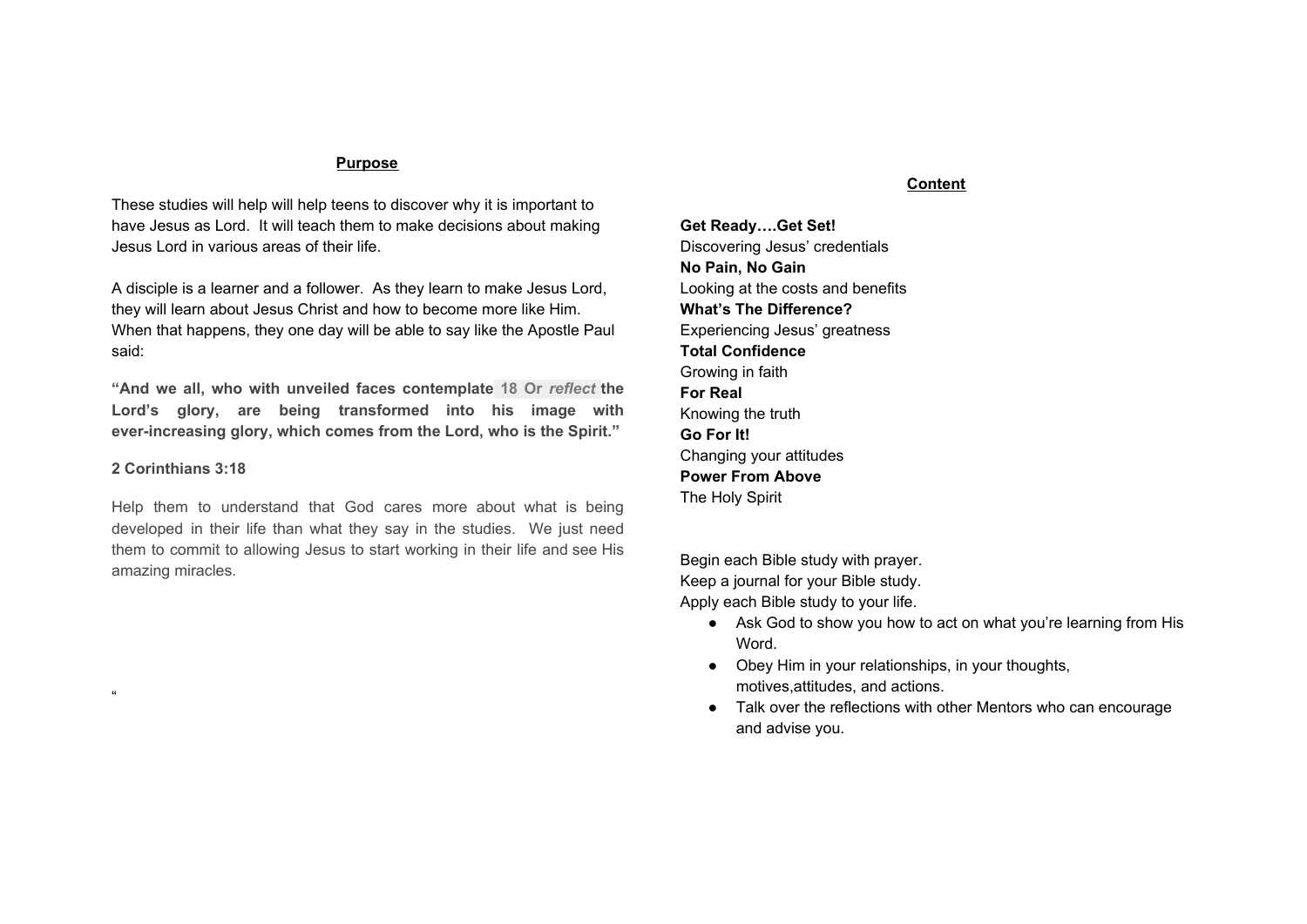God's faithfulness to us should inspire faith in us. Let's say you really need some help in algebra, and a fellow student offers to meet you after school and help you. If he didn't show up, how would you feel?

If he missed two or three appointments, would you keep trying to meet with him?

But if he made it every meeting and helped you, wouldn't you begin to think, Hey, here's someone I can count on? Faith in God develops in the same way, God proves to you that He can be trusted, and you begin to have faith in Him.

How has God proven Himself trustworthy to you? Give a specific example.

How can you give Him additional opportunities to prove Himself faithful?

When God says He will do something, He always does it. And because God is faithful, you can develop faith in Him.

Our Faith What is the biblical definition of faith? Hebrews 11:1

### An example of what faith is not.

A man walks across Niagara Falls on a tightrope. People applaud. He walks across it again with a wheelbarrow. People get really excited. Do those people have faith that the tightrope walker knows what he is doing? You might think so. But suppose the guy asks for a volunteer to go across the Falls in his wheelbarrow. That is the test of how much the people believe in him. Genuine faith isn't sitting back and watching others. It is developed only when risk is involved.





When you sit down in a chair, do you worry about whether or not it will hold you up? Of course not. Why? Based on the evidence and your experience, a chair's purpose is to hold you up when you sit on it. As long as you're standing up, you are not expressing any faith. Faith comes when you sit down, relax, and put all your weight on the chair.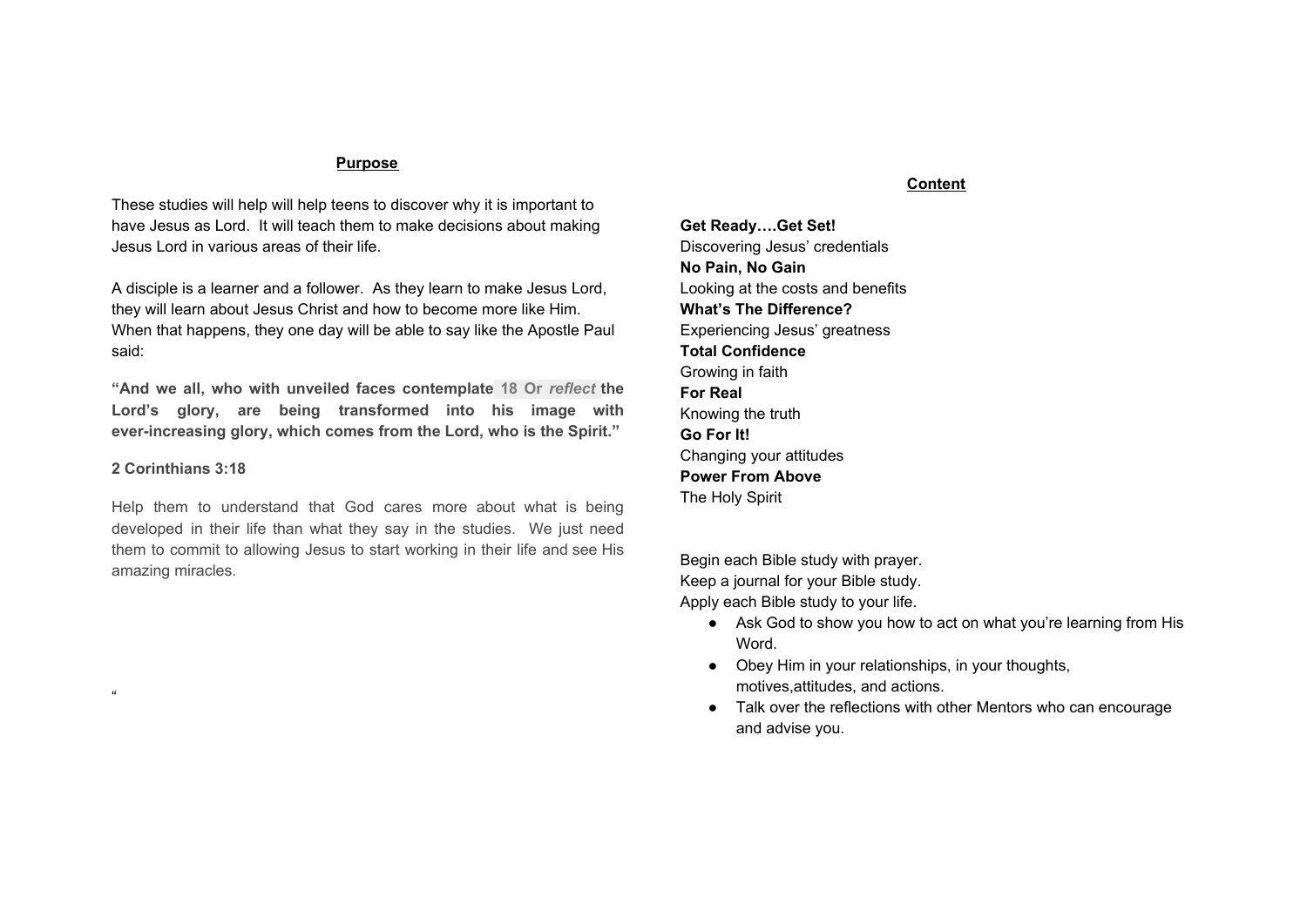We all have faith in many things. But what is really important is the object of your faith.

Jesus is the only object of your faith who will never let you down.

Faith is confidence. Hebrews 11:1 "what we hope for" "what we do not see" How can you "be sure" of such things?

### Faith is Believing In Your Mind.

Hebrews 11:6. What are the two things you must believe intellectually in order to have faith?

What is God's response when you meet those requirements?

Abraham was known for his faith. Read Romans 4:18-21. What does it mean to be "fully persuaded"?

Are you fully persuaded that God can do what He promises? Why or Why not?

#### Faith in action.

Read Mark 11:24. According to that verse, how does faith become an action?

Without action, faith does not exist. Faith is total trust in God. He wants us to act on what we believe.

Reread Romans 4:20-21 How can your potential and God's glory fit together according to these verses?

How can you reach your maximum potential and give glory to God through your life?

| <b>Romans 10:17</b>      |  |
|--------------------------|--|
| Hebrews 11:8             |  |
| Hebrews 13:7             |  |
| 1 Peter 1:6-7            |  |
| 2 Peter 1:5-9            |  |
| <b>For Real</b>          |  |
| <b>Knowing The Truth</b> |  |

People talk about Jesus in a lot of ways. You probably hear a lot of negative rumors about Him at school. Most of them probably aren't true, but they can stir up some doubts about His faithfulness. Let's look at some of the rumors about Jesus and examine the proof so we can know for sure that Jesus was who He said He was.

## **Rumor #1**--Jesus Was Merely A Good Teacher.

**Proof #1--**Jesus is more than just a good teacher. Only one person has ever fulfilled the Old Testament(OT) prophecies referring to the "Messiah"--Jesus. Fulfilled prophecies by Jesus.

| <b>Prophecy</b> | <b>Fulfillment</b> | What |
|-----------------|--------------------|------|
| Happened?       |                    |      |
| Ps 16:9-11      | Acts 2:25-32       |      |
| Ps 22:1         | Matt.27:46         |      |
| Ps 34:20        | Matt.27:35         |      |
| Ps 22:16-18     | Luke 23:33         |      |
|                 | Jn 19:33-37        |      |
| Ps 110:1        | Acts 2:34-36       |      |
|                 | Heb. $1:3$         |      |
| lsa. 53:7       | Luke 23:8-9        |      |
| lsa. 53:9       | Luke 23:33, 50-53  |      |

These are only a few examples. Jesus fulfilled over 300 prophecies from the OT. So He is obviously much more than a good teacher. In C.S.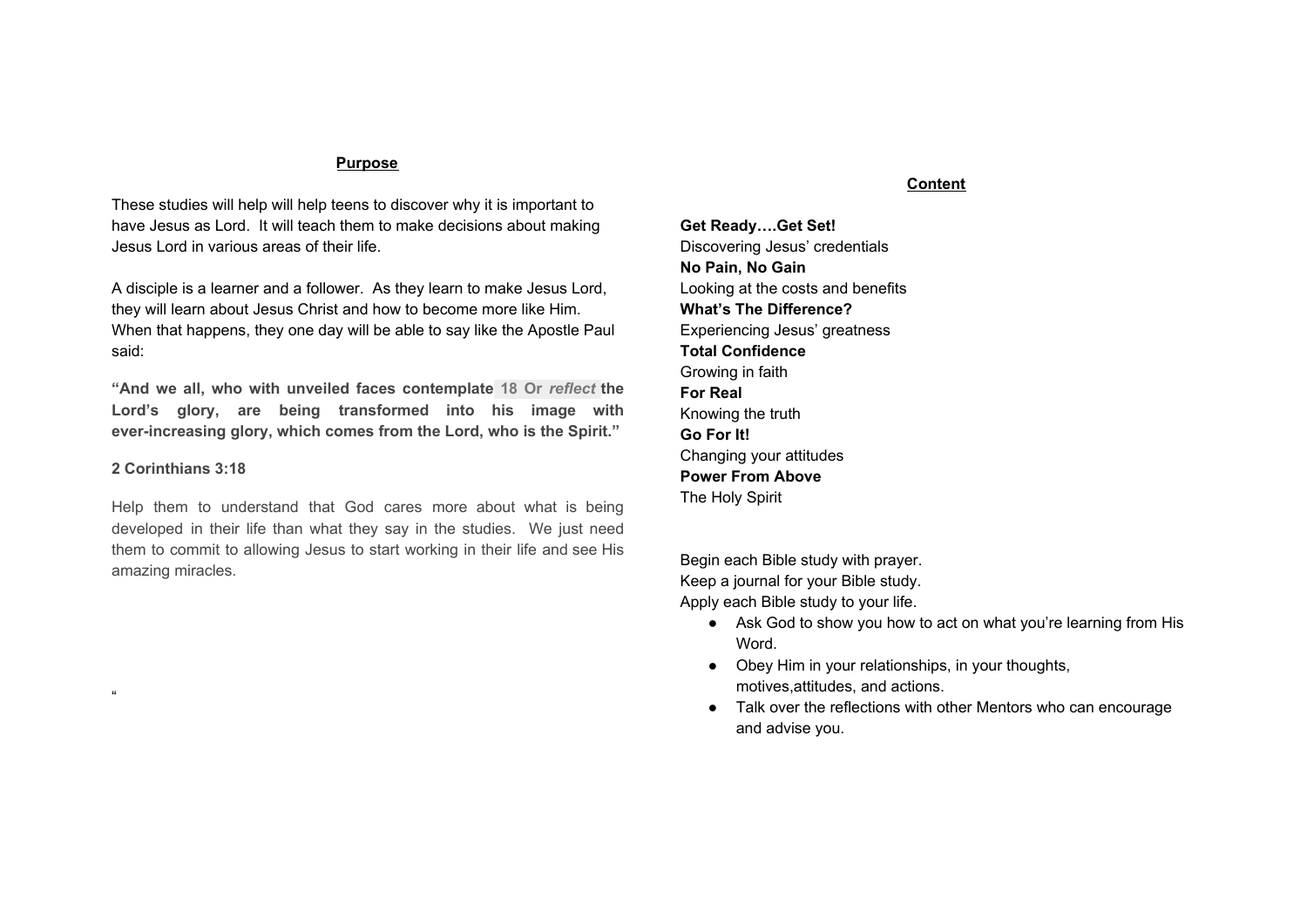Lewis' classic book. Mere Christianity (MacMillan), he says: " A man who was merely a man and said the sort of things Jesus said wouldn't be a great moral teacher, he would either be a lunatic, or a liar or else he would be the devil of Hell; you must make your choice.

**Rumor #2--**The Prophecies that Jesus fulfilled were written during or After the time of Jesus.

**Proof #2--**In Evidence That Demands a Verdict(Here's Life), Josh McDowell points out that the Greek translation or the Hebrew scripture(known as the Septuagint) was completed by the year 250B.C. So there had to be at least a 250 year gap between the written prophecies of Christ and their fulfillment. Read 2 Peter 1:20-21.

What further proof does that passage provide regarding prophecies?

Evidence clearly indicates that Jesus us was born many years after the prophecies about Him were written.

**Rumor #3--**Jesus Wasn't Really God. He Was Just A Great Religious Figure.

**Proof #3--**Like C.S. Lewis said, no great religious figure would ever have made the claims Jesus made. What were some of Jesus' claims, and what evidence did He provide to prove He was telling the truth? Look up the following passages, and decide if Jesus supported His claims to be God.

| Claim         | Evidence                                                        | <b>Your Observations</b> |
|---------------|-----------------------------------------------------------------|--------------------------|
| John 6:35     | John 6:1-14                                                     |                          |
|               |                                                                 |                          |
| John 7:37     | John 2:1-11                                                     |                          |
|               |                                                                 |                          |
| John 8:12     | John 9:1-25                                                     |                          |
| John 11:25-26 | John 11:38-44                                                   |                          |
|               | Someone else believed Jesus' claims to be God--His Father. Read |                          |
|               | Matt. 3:16-17. What indications did God the Father provide?     |                          |

Read Matt. 14: 25-32. What did other people say about Jesus?

**Rumor #4--**Jesus Is Equal To Mohammed, Confucius, Buddha, And Other Great Religious Leaders.

**Proof #4--**If you go to the graves of Mohammed, Confucius, or Buddha, you will find their bodies enshrined there. But that's not true of Jesus Christ. His grave is empty. Why? Because Jesus was raised from the dead and ascended to heaven to be with the Father.

Jesus prophesied His resurrection. Rephrase Luke 18:31-34 in your own words.

Jesus' tomb was empty. Read Matt 27:57-28:7. What proof of Christ's resurrection do those verses provide?

Jesus appeared to people after His death. Read the following passages and make a list of those who saw Jesus alive after His death. Matt 28:1,8-10 Matt 28:16-20 Luke 24:13-16,28-31 Luke 24:34 Luke 24:36-43 John 20:14 John 20:26-28 John 21:1-14 1 Cor. 15:3-8 Because of the proof of His resurrection, there can be no comparison of Jesus to other religious leaders.

**Rumor #5--**Jesus Was A Jew Who Died 2,000 Years Ago, He Doesn't Have Anything To Do With My Life Today.

**Proof # 5--**This is up to you. From your personal experience, how can you prove that Jesus is who He said He was and that He is still active today?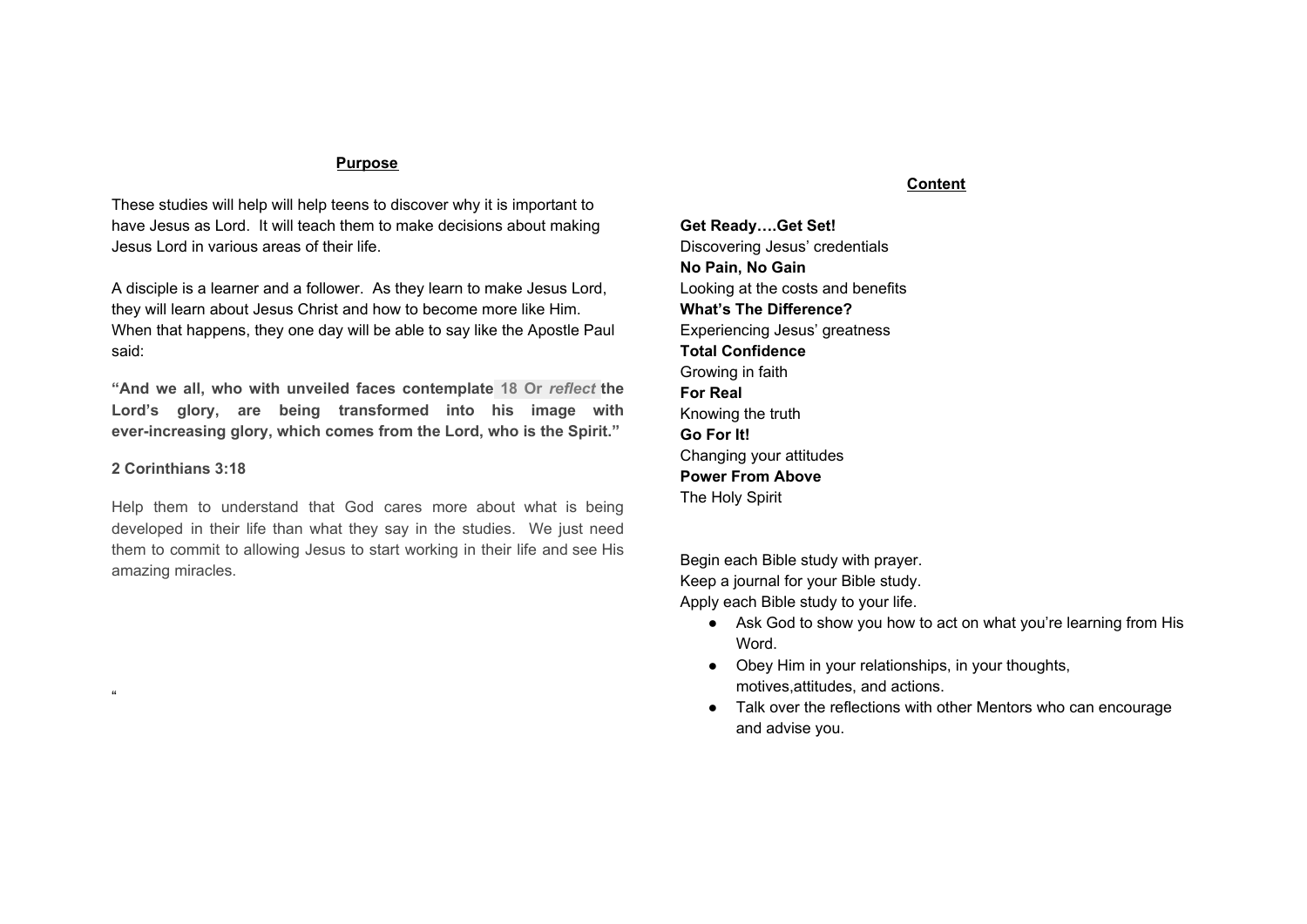## Trust and Obey

We can learn from the example that Christ has set for us. The one factor that allowed Jesus to be who He was and do what He did was His obedience His Father.

- Jesus was obedient in baptism(Matt 3: 13-17)
- Jesus was obedient in every detail of His life (John 6:38)
- Jesus was obedient in death(Matt. 26:36-46)

Determine from the above passages what motivated Jesus to obey His Father.

Define obedience as you see it expressed through Jesus' life.

The greatest factor that will allow you to discover power and purpose in life is your obedience to God. When you make Jesus Lord, you become obedient to Jesus Christ and do what you know He wants you to do. And you experience some positive results of your obedience. Matthew 7: 24-27 Rewrite this parable to apply to your own life.

Read John 14:23 What does that verse mean to you?

Read John 14:21. You will know Jesus better and better.

Read 1 John 5:3-4 You will be an overcomer. What promises does these verses hold for those who keep God's commandments?

Name one area of your life where it is really tough for you to be obedient to Jesus Christ.

Remember Matthew 6:33 Basketball(any sports) or studies or friends which are important but are they more important than Jesus. Also, focus on how your obedience to your parents will help you obey Jesus.

# **Go For It! Changing your attitudes**



A guy on the team cused you because he was ticked off with you. You felt like punching him. What would you do in a similar situation? Why? Your attitude determine your actions just b like v your genes determine what you look like.

Attitude Check

Do you recognize any of the following attitudes? "I hate school." "Gotta make my move on that girl! "My teacher came from Mars." "This stuff taste like dog food." "My parents have no right to tell me what to do?"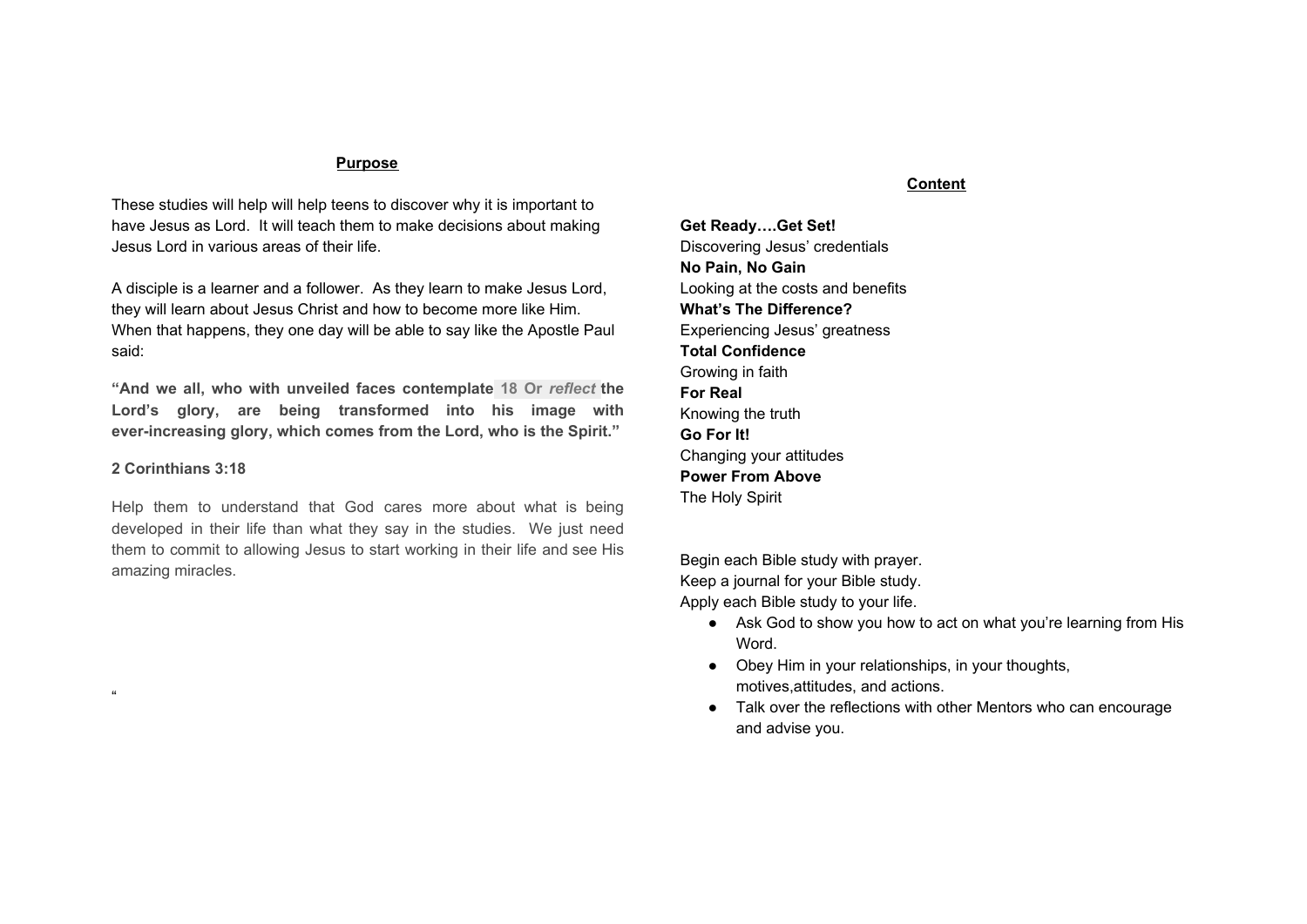If you are guilty of these thoughts (or worse), you need a change of attitude.

Philippians 2:5

**Attitude #1--**Jesus Didn't Strive For Ambition And Success. He gave up His own desires and goals for His Father's desires and goals. Read Philippians 2:3. What two negative attitudes are named there?

How do you struggle with those attitudes?

What positive attitude should replace those negative ones?

Jesus made "Himself nothing". That means He poured out His own desires just like a glass of water. We need to put out our attitude of pride, selfishness, conceit, stubbornness, and defensiveness. Which of these attitude do you need to get rid of?



Emptying yourself may cost you your hopes, dreams, and desires, but will be fully filled with God's hopes, dreams, and desires.

**Attitude #2--**Jesus Gave Up His "Rights" To Serve Others. What does Philippians 2:7 say about Jesus "rights"?

What else can you learn about Jesus attitude from Mark 10:45?

Many servants in Old Testament times were hired. They were paid wages and had certain rights. But the New Testament introduces the concept of a bond servant--someone who had no rights and was only the property of a master who could treat him however the master wished. Jesus was a bond servant. He voluntarily gave up His rights in order to glorify God and to serve men. If you look up Philippians 1:1 and 2 Corinthians 4: 5, you will discover that the Paul called himself a bondservant. Who was his master?

People in our society think they have rights. Do you? Defend your answer.

How do you develop Jesus' attitude? By giving up your "rights". Since your last Life Change sheet was about parents, here are some practical ways to apply a servant attitude to your parents.

1. Look at life from your parents' perspective. How does your father feel about his job right now? His friends? His age? His relationship with your mom?

What about your mom? How does she feel about her life? Her feelings of self-worth? Your dad? Is she ever lonely?

2. Ask your parents advice for problems you are facing. What do you need their advice about right now?

Name a recent bad decision you might not have made if you had consulted your parents first.

3. Show appreciation for your parents.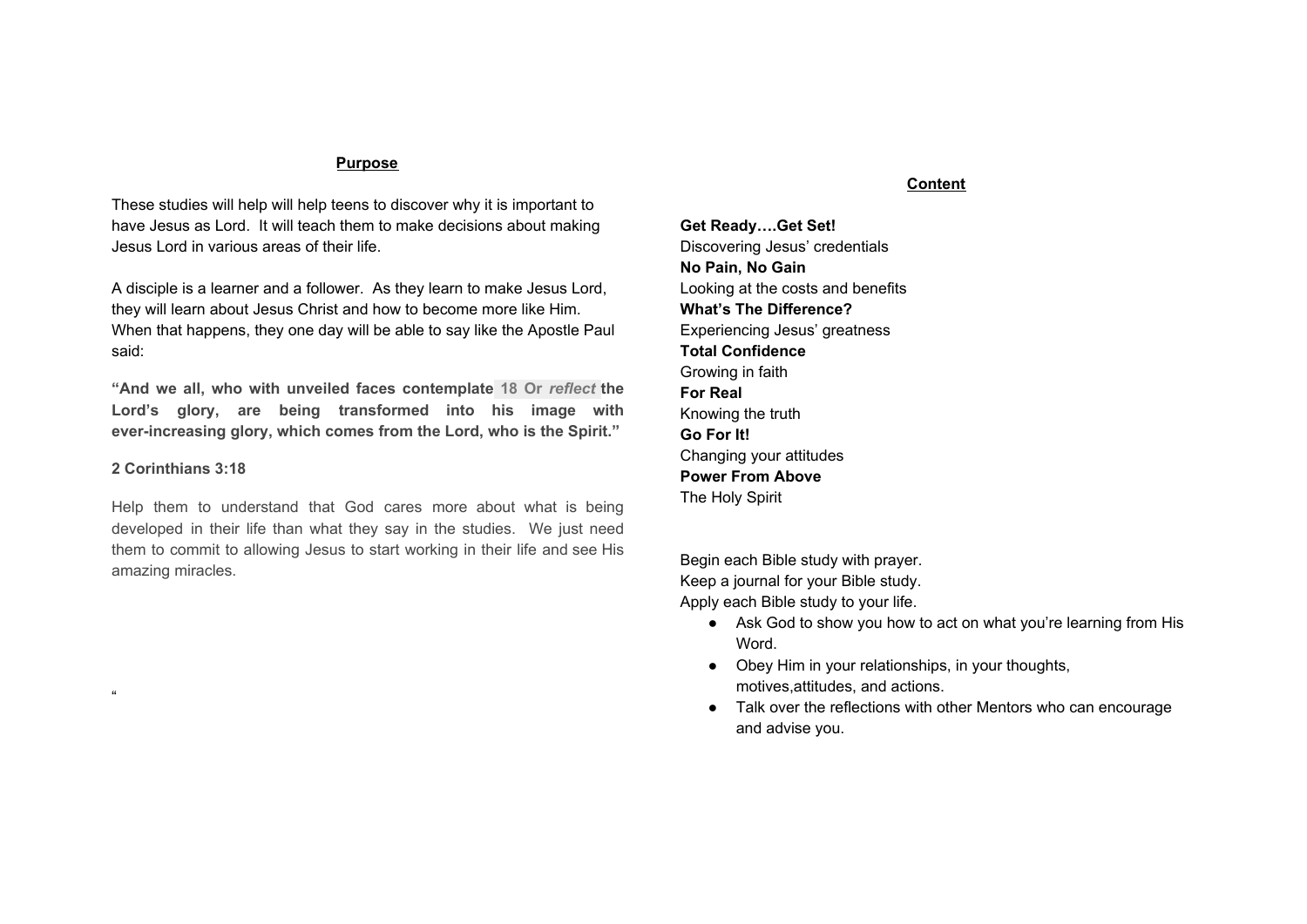Here are some suggestions to get you started.

Take them out to dinner and you pay/make a meal.

Write a poem on a card to encourage them

Clean up your room

Remember their birthdays and anniversary

Sweep and mop the house What will you do this week to show appreciation for your parents?

4. Pray for your parents. Record your prayer requests for your parents. 5. Ask forgiveness from your parents when you do something wrong. If there are some tensions between you both, you need to go to them and tell them you're sorry. Practice saying this out loud: "I was wrong.(Explain how.) Will you forgive me?" After you rehearsed your apology several times, ask for your parents forgiveness and record what happens.

6. Tell your parents you love them. People are different. Your parents might respond positively, negatively, or indifferently when you say, "I love you." But either way, it's important that they know you love them. Pray about their response. Record their response.

You can tell if you have a servant's attitude by the way you react when someone treats you like a servant.

**Attitude #3--**Jesus Gave Up His Life For Death On The Cross. Read Philippians 2:8. Jesus struggled to be "obedient to death" in the Garden of Gethsemane (Matthew 26:28). The Bible pictures Jesus with "sweat… Like drops of blood" as He was struggling to obey His Father. Read Matthew 26:39. Did Jesus want to die?

Why did He decide to willingly give up His life?

You will never learn to live until you learn to die.

**Attitude #4--**Jesus Knew He Would Be Victorious. Read Philippians 2:9-11. What two things did God do as a result of Jesus' attitude?

What two things should we do to imitate as a result of Jesus' attitude? 1 Peter 5:5-6

You must go through the cross to get to the Resurrection.



Everything you do costs something(time, money, energy,etc.). The real question is whether or not you want to pay the price. If a football team wants to get to the state championship in April, they must practice in sweltering heat of June. If a student wants to make the grades to get in one of the best colleges, he has to give up certain activities and study every night. If you want to set your sights on developing attitudes that will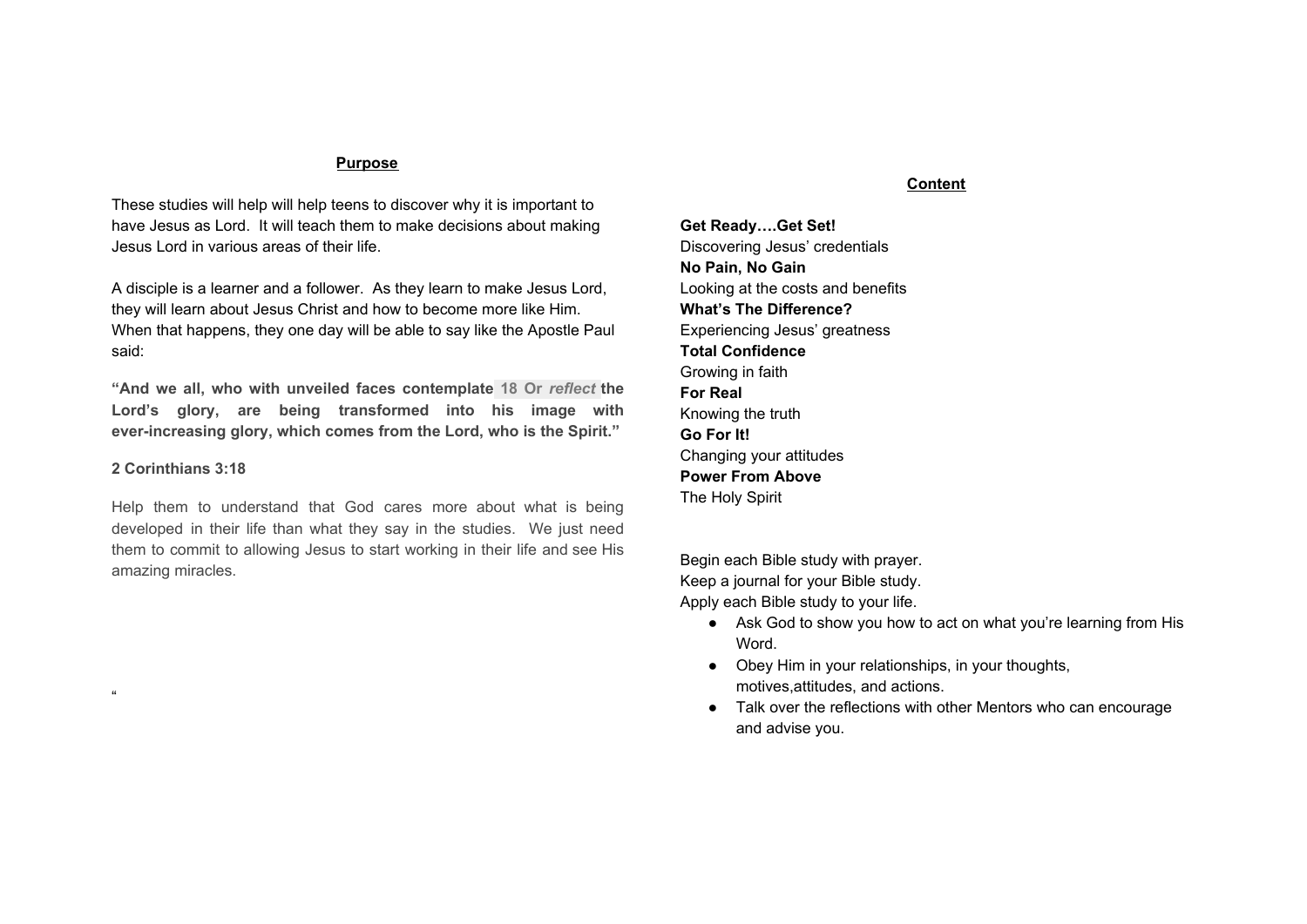make you more like Christ, you must humble yourself before Jesus as Lord. Then His exciting promise is that He will exalt you, lift you up, and make you a winner in life.

# **Power From Above The Holy Spirit**

# Power Facts

Jesus is willing to give an edge in the game of life to whoever chooses to follow him. He will dwell in that person through His Spirit inside of them. What good does that do? Jesus said that "when He, the Spirit of truth, comes, He will guide you into all truth. He will not speak on His own; He will speak only what He hears, and He will tell you what is yet to come. He will bring glory to Me by taking from what is Mine and making it known to you."(John 16:13-14).

Having the Holy Spirit is like having "extra ability"(as you face the test of living for Christ each day. Check out His promises to you in Ephesians 3:20-21: "Now to Him(Jesus) who is able to do immeasurably more than all we ask or imagine, according to His power (the Holy Spirit) that is at work within us, to Him be glory in the church and in Christ Jesus throughout all generations, for ever and ever!" The Holy Spirit gives you the power to live a Christian life.

What do you really know about the Holy Spirit? Let's look at some of the power facts" about Him.



**Power Fact #1--**The Holy Spirit is God. He is the third person in the Trinity.

## Matt. 28:19-20; Jn 14:26;1 Cor.12:13

**Power Fact #2--**The Holy Spirit Has Been Working Since The Beginning Of Time.

How do the following verses confirm the Holy Spirit's early ministry? Genesis 1:2

The Lord speaks to His chosen people, Read Haggai 2:5

# **Power Fact #3--**The Holy Spirit's Work Was Evident in the Life Of Jesus.

| Luke1:35     |  |
|--------------|--|
| Luke4:1      |  |
| Luke 4:14-21 |  |
| John1:32     |  |
| Romans 8:11  |  |
| Hebrews 9:14 |  |

**Power Fact #4--**The Holy Spirit Inspired The Bible.

Read and summarize the following verses.

| John 16:13   |  |
|--------------|--|
| Acts 1:16    |  |
| 2 Peter 1:21 |  |

Does the fact that the Holy Spirit was the source of knowledge for all of the Bible writers give you more confidence in God's Word? Why?

**Power Fact #5--**The Holy Spirit Helps Us To Believe in Christ. Read John 14:15-17. How does the Holy Spirit bring us to Christ?

Can unbelievers possess the Holy Spirit?

How can we grieve the Holy Spirit? What is blasphemy mean? Matthew 12:31-32